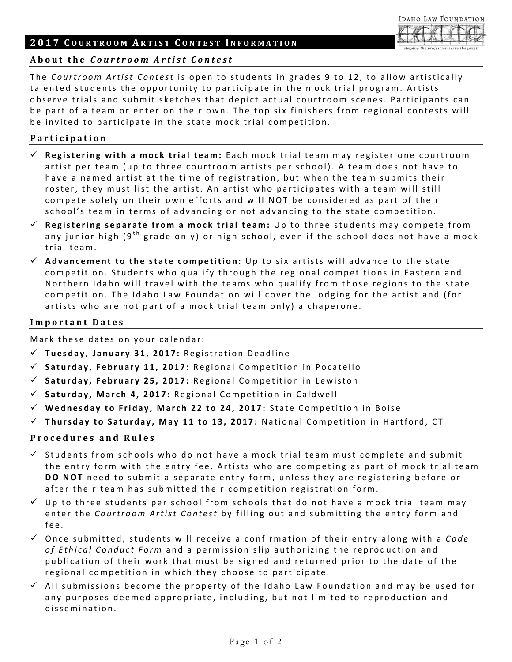## **201 7 C OURTROOM A RTIST C ONTEST I NFORMATION**

## **About the** *Courtroom Artist Contest*

The *Courtroom Artist Contest* is open to students in grades 9 to 12 , to allow artistically talented students the opportunity to participate in the mock trial program. Artists observe trials and submit sketches that depict actual courtroom scenes. Participants can be part of a team or enter on their own. The top six finishers from regional contests will be invited to participate in the state mock trial competition.

## **Participation**

- **Registering with a mock trial team:** Each mock trial team may register one courtroom artist per team (up to three courtroom artists per school). A team does not have to have a named artist at the time of registration, but when the team submits their roster, they must list the artist. An artist who participates with a team will still compete solely on their own efforts and will NOT be considered as part of their school's team in terms of advancing or not advancing to the state competition.
- **√ Registering separate from a mock trial team:** Up to three students may compete from any junior high ( $9<sup>th</sup>$  grade only) or high school, even if the school does not have a mock trial team.
- **Advancement to the state competition:** Up to six artists will advance to the state competition. Students who qualify through the regional competitions in Eastern and Northern Idaho will travel with the teams who qualify from those regions to the state competition. The Idaho Law Foundation will cover the lodging for the artist and (for artists who are not part of a mock trial team only) a chaperone .

### **Important Dates**

Mark these dates on your calendar:

- **Tuesday , January 3 1 , 20 1 7 :** Registration Deadline
- **Saturday, February 11, 2017:** Regional Competition in Pocatello
- **Saturday, February 2 5 , 201 7 :** Regional Competition in Lewiston
- **Saturday, March 4 , 20 1 7 :** Regional Competition in Caldwell
- **Wednesday to Friday , March 22 to 24, 2017 :** State Competition in Boise
- **Thursday to Saturday, May 1 1 to 1 3 , 2017 :** National Competition in Hartford, CT

### **Procedures and Rules**

- $\checkmark$  Students from schools who do not have a mock trial team must complete and submit the entry form with the entry fee. Artists who are competing as part of mock trial team **DO NOT** need to submit a separate entry form, unless they are registering before or after their team has submitted their competition registration form.
- $\checkmark$  Up to three students per school from schools that do not have a mock trial team may enter the *Courtroom Artist Contest* by filling out and submitting the entry form and fee.
- Once submitted, students will receive a confirmation of their entry along with a *Code of Ethical Conduct Form* and a permission slip authorizing the reproduction and publication of their work that must be signed and returned prior to the date of the regional competition in which they choose to participate.
- All submissions become the property of the Idaho Law Foundation and may be used for any purposes deemed appropriate, including, but not limited to reproduction and dissemination.

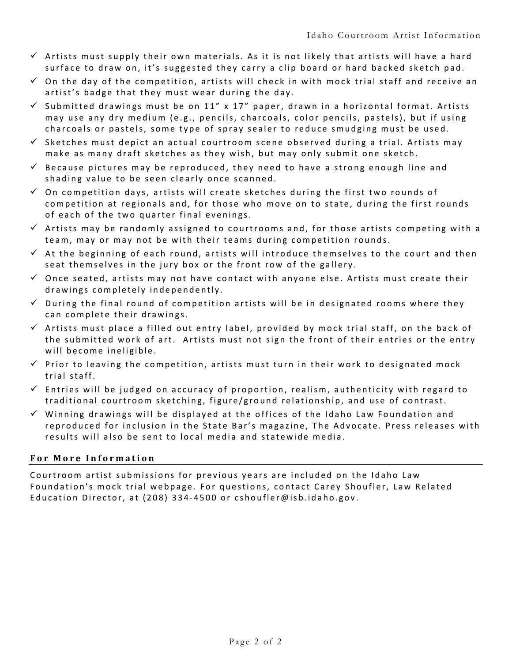- $\checkmark$  Artists must supply their own materials. As it is not likely that artists will have a hard surface to draw on, it's suggested they carry a clip board or hard backed sketch pad.
- $\checkmark$  On the day of the competition, artists will check in with mock trial staff and receive an artist's badge that they must wear during the day.
- $\checkmark$  Submitted drawings must be on 11" x 17" paper, drawn in a horizontal format. Artists may use any dry medium (e.g. , pencils, charcoals, color pencils, pastels), but if using charcoals or pastels, some type of spray sealer to reduce smudging must be used.
- $\checkmark$  Sketches must depict an actual courtroom scene observed during a trial. Artists may make as many draft sketches as they wish, but may only submit one sketch.
- $\checkmark$  Because pictures may be reproduced, they need to have a strong enough line and shading value to be seen clearly once scanned.
- $\checkmark$  On competition days, artists will create sketches during the first two rounds of competition at regionals and, for those who move on to state, during the first rounds of each of the two quarter final evenings.
- $\checkmark$  Artists may be randomly assigned to courtrooms and, for those artists competing with a team, may or may not be with their teams during competition rounds.
- $\checkmark$  At the beginning of each round, artists will introduce themselves to the court and then seat themselves in the jury box or the front row of the gallery.
- $\checkmark$  Once seated, artists may not have contact with anyone else. Artists must create their drawings completely independently.
- $\checkmark$  During the final round of competition artists will be in designated rooms where they can complete their drawings.
- $\checkmark$  Artists must place a filled out entry label, provided by mock trial staff, on the back of the submitted work of art. Artists must not sign the front of their entries or the entry will become ineligible.
- $\checkmark$  Prior to leaving the competition, artists must turn in their work to designated mock trial staff.
- $\checkmark$  Entries will be judged on accuracy of proportion, realism, authenticity with regard to traditional courtroom sketching, figure/ground relationship, and use of contrast.
- $\checkmark$  Winning drawings will be displayed at the offices of the Idaho Law Foundation and reproduced for inclusion in the State Bar's magazine, The Advocate. Press releases with results will also be sent to local media and statewide media.

## **For More Information**

Courtroom artist submissions for previous years are included on the Idaho Law Foundation's mock trial webpage. For questions, contact Carey Shoufler, Law Related Education Director, at (208) 334 - 4500 or cshoufler@isb.idaho.gov.